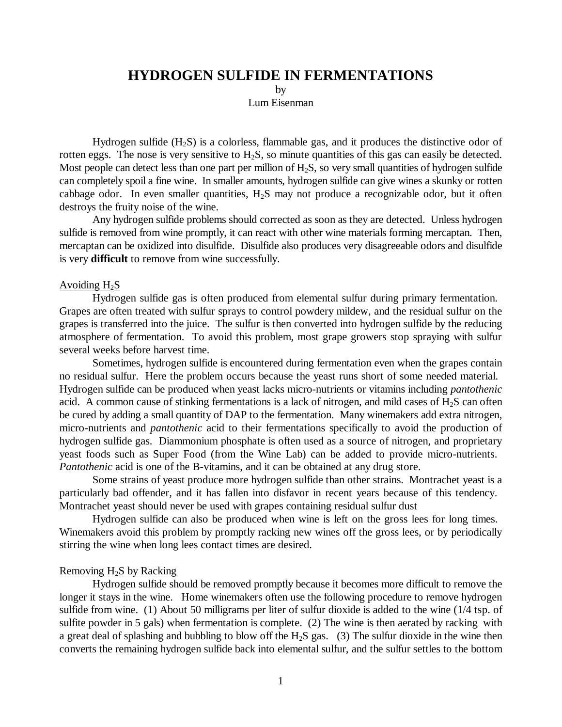# **HYDROGEN SULFIDE IN FERMENTATIONS**

by

Lum Eisenman

Hydrogen sulfide  $(H_2S)$  is a colorless, flammable gas, and it produces the distinctive odor of rotten eggs. The nose is very sensitive to  $H_2S$ , so minute quantities of this gas can easily be detected. Most people can detect less than one part per million of  $H_2S$ , so very small quantities of hydrogen sulfide can completely spoil a fine wine. In smaller amounts, hydrogen sulfide can give wines a skunky or rotten cabbage odor. In even smaller quantities,  $H_2S$  may not produce a recognizable odor, but it often destroys the fruity noise of the wine.

Any hydrogen sulfide problems should corrected as soon as they are detected. Unless hydrogen sulfide is removed from wine promptly, it can react with other wine materials forming mercaptan. Then, mercaptan can be oxidized into disulfide. Disulfide also produces very disagreeable odors and disulfide is very **difficult** to remove from wine successfully.

## Avoiding  $H_2S$

Hydrogen sulfide gas is often produced from elemental sulfur during primary fermentation. Grapes are often treated with sulfur sprays to control powdery mildew, and the residual sulfur on the grapes is transferred into the juice. The sulfur is then converted into hydrogen sulfide by the reducing atmosphere of fermentation. To avoid this problem, most grape growers stop spraying with sulfur several weeks before harvest time.

Sometimes, hydrogen sulfide is encountered during fermentation even when the grapes contain no residual sulfur. Here the problem occurs because the yeast runs short of some needed material. Hydrogen sulfide can be produced when yeast lacks micro-nutrients or vitamins including *pantothenic* acid. A common cause of stinking fermentations is a lack of nitrogen, and mild cases of  $H_2S$  can often be cured by adding a small quantity of DAP to the fermentation. Many winemakers add extra nitrogen, micro-nutrients and *pantothenic* acid to their fermentations specifically to avoid the production of hydrogen sulfide gas. Diammonium phosphate is often used as a source of nitrogen, and proprietary yeast foods such as Super Food (from the Wine Lab) can be added to provide micro-nutrients. *Pantothenic* acid is one of the B-vitamins, and it can be obtained at any drug store.

Some strains of yeast produce more hydrogen sulfide than other strains. Montrachet yeast is a particularly bad offender, and it has fallen into disfavor in recent years because of this tendency. Montrachet yeast should never be used with grapes containing residual sulfur dust

Hydrogen sulfide can also be produced when wine is left on the gross lees for long times. Winemakers avoid this problem by promptly racking new wines off the gross lees, or by periodically stirring the wine when long lees contact times are desired.

## Removing  $H_2S$  by Racking

Hydrogen sulfide should be removed promptly because it becomes more difficult to remove the longer it stays in the wine. Home winemakers often use the following procedure to remove hydrogen sulfide from wine. (1) About 50 milligrams per liter of sulfur dioxide is added to the wine (1/4 tsp. of sulfite powder in 5 gals) when fermentation is complete. (2) The wine is then aerated by racking with a great deal of splashing and bubbling to blow off the  $H_2S$  gas. (3) The sulfur dioxide in the wine then converts the remaining hydrogen sulfide back into elemental sulfur, and the sulfur settles to the bottom